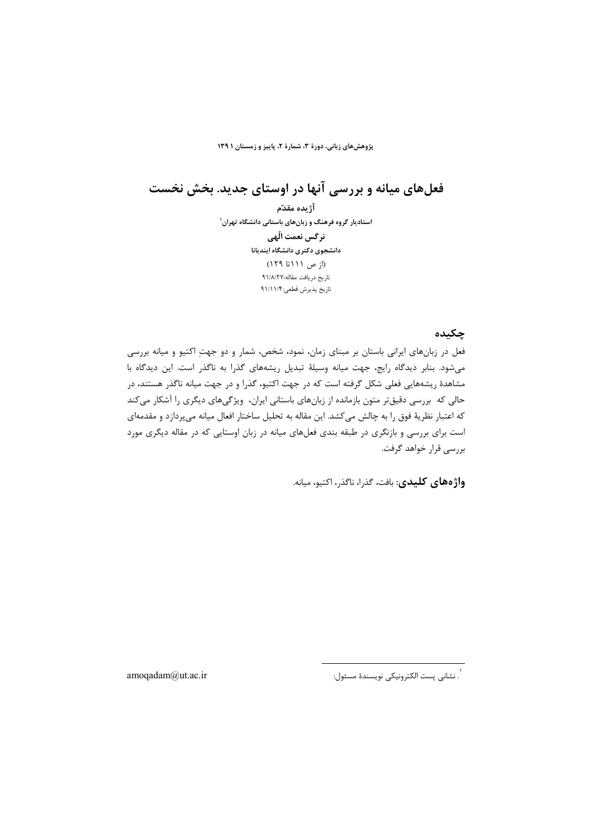پژوهشهای زبانی، دورهٔ ۳، شمارهٔ ۲، پاییز و زمستان ۱۳۹۱

فعلهای میانه و بررسی آنها در اوستای جدید. بخش نخست

آژيده مقدّم استادیار گروه فرهنگ و زبانهای باستانی دانشگاه تهران<sup>۱</sup> نر گس نعمت الّهے ِ دانشجوي دكترى دانشگاه اينديانا (از ص ۱۱۱تا ۱۲۹) تاريخ دريافت مقاله:٩١/٨/٢٧ تاريخ پذيرش قطعي:٩١/١١/۴

## چکىدە

فعل در زبانهای ایرانی باستان بر مبنای زمان، نمود، شخص، شمار و دو جهتِ اکتیو و میانه بررسی می شود. بنابر دیدگاه رایج، جهت میانه وسیلهٔ تبدیل ریشههای گذرا به ناگذر است. این دیدگاه با مشاهدهٔ ریشههایی فعلی شکل گرفته است که در جهت اکتیو، گذرا و در جهت میانه ناگذر هستند، در حالی که بررسی دقیقتر متون بازمانده از زبانهای باستانی ایران، ویژگیهای دیگری را آشکار میکند که اعتبار نظریهٔ فوق را به چالش میکشد. این مقاله به تحلیل ساختار افعال میانه میپردازد و مقدمهای است برای بررسی و بازنگری در طبقه بندی فعلهای میانه در زبان اوستایی که در مقاله دیگری مورد بررسی قرار خواهد گرفت.

**واژ ههای کلیدی**: بافت، گذرا، ناگذر، اکتیو، میانه.

,<br>`. نشاني پست الكترونيكي نويسندهٔ مسئول:

amoqadam@ut.ac.ir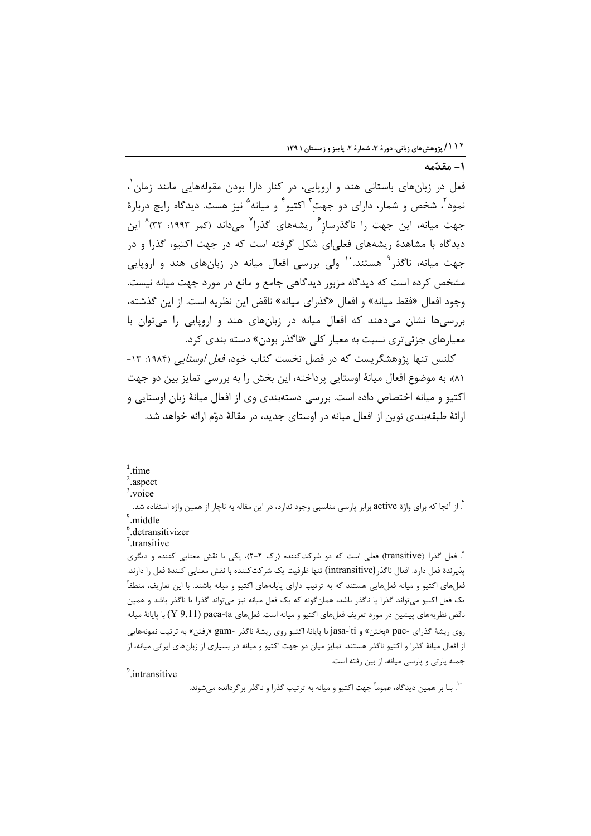$\tilde{L}$   $\alpha$   $\tilde{a}$   $\tilde{L}$ 

فعل در زبانهای باستانی هند و اروپایی، در کنار دارا بودن مقولههایی مانند زمان ٰ، نمود<sup>۲</sup>، شخص و شمار، دارای دو جهتِ<sup>۳</sup> اکتیو<sup>۴</sup> و میانه<sup>۵</sup> نیز هست. دیدگاه رایج دربارهٔ جهت میانه، این جهت را ناگذرساز<sup>۶</sup> ریشههای گذرا<sup>۷</sup> میداند (کمر ۱۹۹۳: ۳۲<sup>)۸</sup> این دیدگاه با مشاهدهٔ ریشههای فعلیای شکل گرفته است که در جهت اکتیو، گذرا و در جهت میانه، ناگذر<sup>۹</sup> هستند. <sup>۱۰</sup> ولی بررسی افعال میانه در زبانهای هند و اروپایی مشخص کرده است که دیدگاه مزبور دیدگاهی جامع و مانع در مورد جهت میانه نیست. وجود افعال «فقط ميانه» و افعال «گذراي ميانه» ناقض اين نظريه است. از اين گذشته، بررسی ها نشان میدهند که افعال میانه در زبانهای هند و اروپایی را میتوان با معیارهای جزئی تری نسبت به معیار کلی «ناگذر بودن» دسته بندی کرد.

کلنس تنها پژوهشگریست که در فصل نخست کتاب خود، *فعل اوستایی* (۱۹۸۴: ۱۳-٨١)، به موضوع افعال ميانهٔ اوستايي پرداخته، اين بخش را به بررسي تمايز بين دو جهت اکتیو و میانه اختصاص داده است. بررسی دستهبندی وی از افعال میانهٔ زبان اوستایی و ارائهٔ طبقهبندی نوین از افعال میانه در اوستای جدید، در مقالهٔ دوّم ارائه خواهد شد.

#### $1$ time

 $2$  aspect

 $3$ .voice

<sup>۲</sup>. از آنجا که برای واژهٔ active برابر پارسی مناسبی وجود ندارد، در این مقاله به ناچار از همین واژه استفاده شد. middle

<sup>6</sup>.detransitivizer  $7$ .transitive

^. فعل گذرا (transitive) فعلی است که دو شرکتکننده (رک ۲-۲)، یکی با نقش معنایی کننده و دیگری يذيرندهٔ فعل دارد. افعال ناگذر (intransitive) تنها ظرفيت يک شر کت کننده با نقش معنايي کنندهٔ فعل را دارند. فعلهای اکتیو و میانه فعلهایی هستند که به ترتیب دارای پایانههای اکتیو و میانه باشند. با این تعاریف، منطقاً یک فعل اکتیو میتواند گذرا یا ناگذر باشد، همانگونه که یک فعل میانه نیز میتواند گذرا یا ناگذر باشد و همین ناقض نظریههای پیشین در مورد تعریف فعلهای اکتیو و میانه است. فعلهای paca-ta (Y 9.11) با پایانهٔ میانه <sub>روی د</sub>یشهٔ گذرای -pac «یختن» و jasa-<sup>i</sup>ti با پایانهٔ اکتیو <sub>رو</sub>ی <sub>د</sub>یشهٔ ناگذر -gam «رفتن» به ترتیب نمونههایی از افعال میانهٔ گذرا و اکتیو ناگذر هستند. تمایز میان دو جهت اکتیو و میانه در بسیاری از زبانهای ایرانی میانه، از جمله پارتی و پارسی میانه، از بین رفته است.

<sup>9</sup>.intransitive

.<br>`` .بنا بر همین دیدگاه، عموماً جهت اکتیو و میانه به ترتیب گذرا و ناگذر برگردانده میشوند.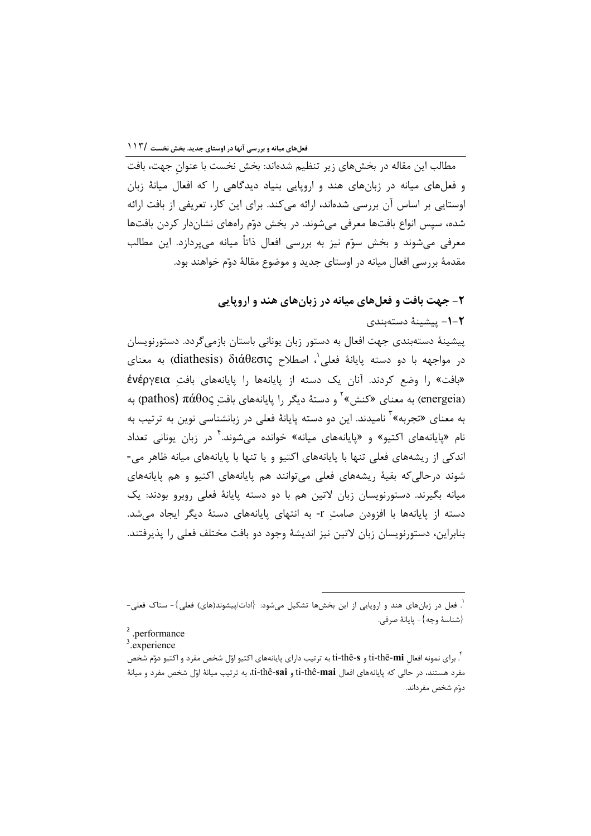مطالب این مقاله در بخشهای زیر تنظیم شدهاند: بخش نخست با عنوان جهت، بافت و فعلهای میانه در زبانهای هند و اروپایی بنیاد دیدگاهی را که افعال میانهٔ زبان اوستایی بر اساس آن بررسی شدهاند، ارائه میکند. برای این کار، تعریفی از بافت ارائه شده، سیس انواع بافتها معرفی می شوند. در بخش دوّم راههای نشاندار کردن بافتها معرفی میشوند و بخش سوّم نیز به بررسی افعال ذاتاً میانه میپردازد. این مطالب مقدمهٔ بررسی افعال میانه در اوستای جدید و موضوع مقالهٔ دوّم خواهند بود.

۲- جهت بافت و فعلهای میانه در زبانهای هند و اروپایی

1-۲ ييشينهٔ دستهبندي

پیشینهٔ دستهبندی جهت افعال به دستور زبان یونانی باستان بازمی گردد. دستورنویسان در مواجهه با دو دسته پایانهٔ فعلی'، اصطلاح diathesis)  $\delta$ iáθεσις) به معنای «بافت» را وضع كردند. آنان يك دسته از يايانهها را يايانههاي بافت ένέργεια (energeia) به معنای «کنش» ٔ و دستهٔ دیگر را پایانههای بافت pathos) πάθος) به به معنای «تجربه»<sup>۳</sup> نامیدند. این دو دسته پایانهٔ فعلی در زبانشناسی نوین به ترتیب به نام «پایانههای اکتیو» و «پایانههای میانه» خوانده می شوند.<sup>۲</sup> در زبان یونانی تعداد اندکی از ریشههای فعلی تنها با پایانههای اکتیو و یا تنها با پایانههای میانه ظاهر می-شوند درحالي كه بقيهٔ ريشههاي فعلي مي توانند هم پايانههاي اكتيو و هم پايانههاي میانه بگیرند. دستورنویسان زبان لاتین هم با دو دسته پایانهٔ فعلی روبرو بودند: یک دسته از پایانهها با افزودن صامت r- به انتهای پایانههای دستهٔ دیگر ایجاد می شد. بنابراین، دستورنویسان زبان لاتین نیز اندیشهٔ وجود دو بافت مختلف فعلی را پذیرفتند.

<sup>`.</sup> فعل در زبانهای هند و اروپایی از این بخشها تشکیل می شود: {ادات/پیشوند(های) فعلی}- ستاک فعلی-{شناسة وجه}- يايانة صرفى.

<sup>&</sup>lt;sup>2</sup>.performance

<sup>&</sup>lt;sup>3</sup>.experience

<sup>&</sup>lt;sup>۲</sup>. برای نمونه افعال ti-thê-**mi و t**i-thê-**s** به ترتیب دارای پایانههای اکتیو اوّل شخص مفرد و اکتیو دوّم شخص مفرد هستند، در حالي كه پايانههاي افعال ti-thê-mai و ti-thê-sai، به ترتيب ميانهٔ اوّل شخص مفرد و ميانهٔ دوّم شخص مفرداند.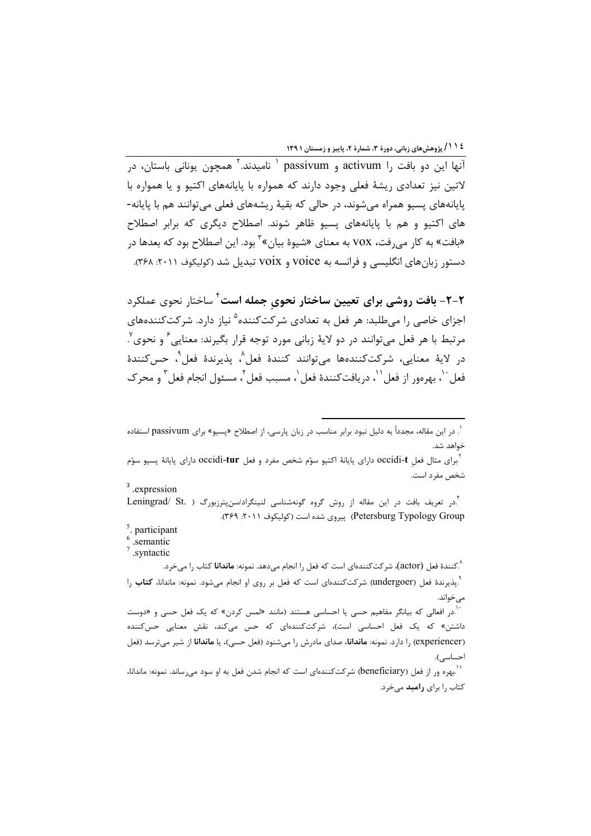٤ ١ ١ / پژوهش های زبانی، دورهٔ ٣، شمارهٔ ٢، پاییز و زمستان ١ ١٣٩

آنها این دو بافت ,ا activum و passivum ' نامیدند.<sup>۲</sup> همچون یونانی باستان، در لاتین نیز تعدادی ریشهٔ فعلی وجود دارند که همواره با پایانههای اکتیو و یا همواره با یایانههای پسیو همراه می شوند، در حالی که بقیهٔ ریشههای فعلی می توانند هم با پایانه-های اکتیو و هم با پایانههای پسیو ظاهر شوند. اصطلاح دیگری که برابر اصطلاح «بافت» به کار میرفت، VOX به معنای «شیوهٔ بیان»<sup>۲</sup> بود. این اصطلاح بود که بعدها در دستور زبانهای انگلیسی و فرانسه به voice و voix تبدیل شد (کولیکوف ۲۰۱۱: ۳۶۸).

۲-۲- بافت روشی برای تعیین ساختار نحوی جمله است<sup>۴</sup> ساختار نحوی عملکرد اجزای خاصی را میطلبد: هر فعل به تعدادی شرکتکننده<sup>۵</sup> نیاز دارد. شرکتکنندههای مرتبط با هر فعل می توانند در دو لایهٔ زبانی مورد توجه قرار بگیرند: معنایی ٔ و نحوی ٌ. در الايهٔ معنايي، شركتكنندەها مى توانند كنندهٔ فعل^، پذيرندهٔ فعل°، حس∑نندهٔ فعل ``، يهرهور از فعل ``، در بافت َكنندهٔ فعل `، مسبب فعل `، مسئول انجام فعل <sup>٣</sup> و محر ک

<sup>'</sup>.در افعالی که بیانگر مفاهیم حسی یا احساسی هستند (مانند «لمس کردن» که یک فعل حسی و «دوست داشتن» که یک فعل احساسی است)، شرکتکنندهای که حس میکند، نقش معنایی حس<sup>ک</sup>ننده (experiencer) را دارد. نمونه: م**اندانا،** صدای مادرش را میشنود (فعل حسی)، یا م**اندانا** از شیر میترسد (فعل احساسی).

.<br>' بهره ور از فعل (beneficiary) شركتكنندهاي است كه انجام شدن فعل به او سود ميرساند. نمونه: ماندانا، کتاب را برای **رامبد** میخرد.

<sup>`.</sup> در این مقاله، مجدداً به دلیل نبود برابر مناسب در زبان پارسی، از اصطلاح «پسیو» برای passivum استفاده خواهد شد.

<sup>&</sup>lt;sup>٢</sup>.برای مثال فعل occidi-**t** دارای پایانهٔ اکتیو سوّم شخص مفرد و فعل occidi-**tur** دارای پایانهٔ پسیو سوّم شخص مفرد است.

<sup>&</sup>lt;sup>3</sup> .expression

<sup>&</sup>lt;sup>י</sup>.در تعریف بافت در این مقاله از روش گروه گونهشناسی لنینگراد/سنپترزبورگ ( .Leningrad/ St Petersburg Typology Group) پیروی شده است (کولیکوف ۲۰۱۱: ۳۶۹).

<sup>&</sup>lt;sup>5</sup>. participant

 $\overline{\phantom{a}}$  semantic

 $7$  syntactic

<sup>&</sup>lt;sup>^</sup>.کنندهٔ فعل (actor)، شرکتکنندهای است که فعل را انجام می۵هد. نمونه: **ماندانا** کتاب را میخرد. .<br>``.پذیرندهٔ فعل (undergoer) شرکتکنندهای است که فعل بر روی او انجام می شود. نمونه: ماندانا، **کتاب** را مىخواند.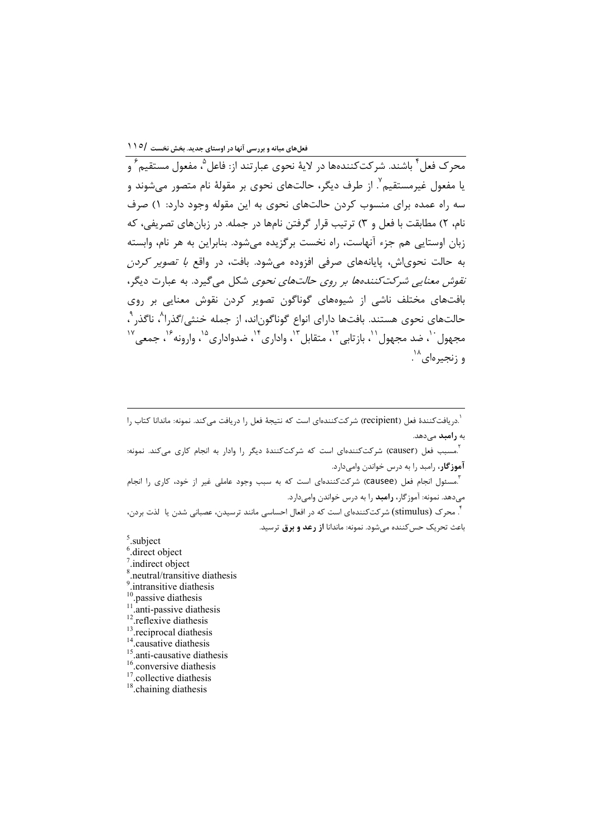یا مفعول غیرمستقیم ؒ. از طرف دیگر، حالتهای نحوی بر مقولهٔ نام متصور می شوند و سه راه عمده برای منسوب کردن حالتهای نحوی به این مقوله وجود دارد: ۱) صرف نام، ۲) مطابقت با فعل و ۳) ترتیب قرار گرفتن نامها در جمله. در زبانهای تصریفی، که زبان اوستایی هم جزء آنهاست، راه نخست برگزیده میشود. بنابراین به هر نام، وابسته به حالت نحویاش، پایانههای صرفی افزوده میشود. بافت، در واقع *با تصویر کردن نقوش معنایی شرکتکنندهها بر روی حالتهای نحوی* شکل می گیرد. به عبارت دیگر، بافتهای مختلف ناشی از شیوههای گوناگون تصویر کردن نقوش معنایی بر روی حالتهای نحوی هستند. بافتها دارای انواع گوناگون|ند، از جمله خنثی/گذرا^، ناگذر <sup>۹</sup>، مجهول ``، ضد مجهول ``، باز تابي ``، متقابل ``، واداري ``، ضدواداري ``، وارونه ``، جمعي `` و زنجيرهاي<sup>۱۸</sup>.

`.<br>`.دریافت *ک*نندهٔ فعل (recipient) شر کت *ک*نندهای است که نتیجهٔ فعل را دریافت م*ی ک*ند. نمونه: ماندانا کتاب را به **رامبد** م<sub>ی</sub>دهد.

.<br><sup>۲</sup>.مسبب فعل (causer) شرکتکنندهای است که شرکتکنندهٔ دیگر را وادار به انجام کاری میکند. نمونه: آموزگار، رامبد را به درس خواندن وامیدارد.

<sup>"</sup>.مسئول انجام فعل (Causee) شرکتکنندهای است که به سبب وجود عاملی غیر از خود، کاری را انجام میدهد. نمونه: آموزگار، **رامبد** را به درس خواندن وامیدارد.

<sup>"</sup>. محرک (stimulus) شرکتکنندهای است که در افعال احساسی مانند ترسیدن، عصبانی شدن یا لذت بردن، باعث تحریک حس کننده مے شود. نمونه: ماندانا **از رعد و برق** ترسید.

- $5$  subject
- <sup>6</sup>.direct object
- $7$ .indirect object
- $3$ .neutral/transitive diathesis
- intransitive diathesis
- 
- $^{10}$ . passive diathesis  $^{11}$ . anti-passive diathesis
- <sup>12</sup>.reflexive diathesis
- <sup>13</sup>.reciprocal diathesis
- $14$ . causative diathesis
- <sup>15</sup> anti-causative diathesis
- <sup>16</sup>.conversive diathesis
- <sup>17</sup>.collective diathesis
- <sup>18</sup>.chaining diathesis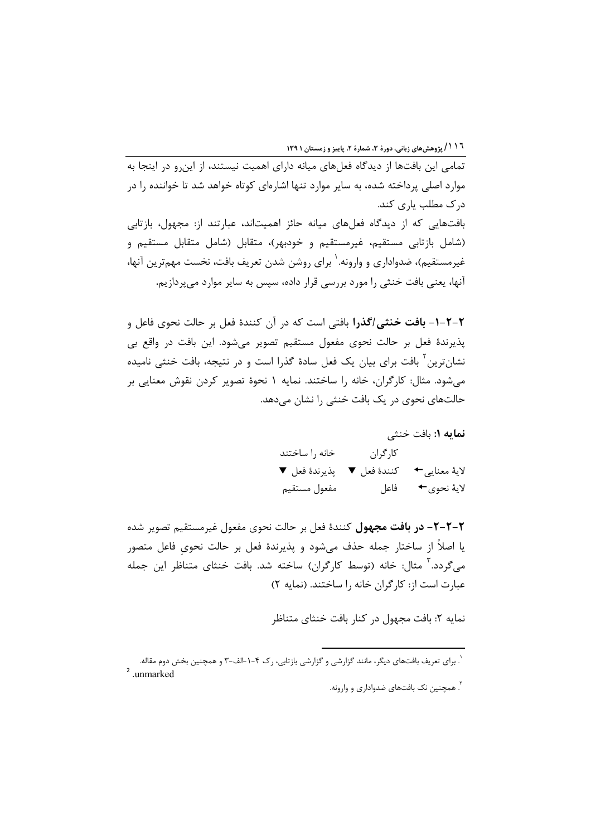۱۱۱ گپژوهش های زبانی، دورهٔ ۳، شمارهٔ ۲، پاییز و زمستان ۱۳۹۱

تمامه این بافتها از دیدگاه فعلهای میانه دارای اهمیت نیستند، از این و در اینجا به موارد اصلی پرداخته شده، به سایر موارد تنها اشارهای کوتاه خواهد شد تا خواننده را در درک مطلب یاری کند.

بافتهایی که از دیدگاه فعلهای میانه حائز اهمیتاند، عبارتند از: مجهول، بازتابی (شامل بازتابی مستقیم، غیرمستقیم و خودبهر)، متقابل (شامل متقابل مستقیم و غیرمستقیم)، ضدواداری و وارونه.<sup>\</sup> برای روشن شدن تعریف بافت، نخست مهم¤رین آنها، آنها، یعنی بافت خنثی را مورد بررسی قرار داده، سپس به سایر موارد میپردازیم.

۲-۲-۱- بافت خنثی *اگ*ذرا بافتی است که در آن کنندهٔ فعل بر حالت نحوی فاعل و پذیرندهٔ فعل بر حالت نحوی مفعول مستقیم تصویر می شود. این بافت در واقع بی نشانترین <sup>۱</sup> بافت برای بیان یک فعل سادهٔ گذرا است و در نتیجه، بافت خنثی نامیده می شود. مثال: کارگران، خانه را ساختند. نمایه ۱ نحوهٔ تصویر کردن نقوش معنایی بر حالتهای نحوی در یک بافت خنثی را نشان می دهد.

> نمايه ١: بافت خنثى کا, گران خانه ,ا ساختند لاية معنايي→ كنندة فعل ▼ پذيرندة فعل ▼ مفعول مستقيم لايهٔ نحوي**←** فاعل

٢-٢-٢- در بافت مجهول كنندة فعل بر حالت نحوى مفعول غيرمستقيم تصوير شده یا اصلاً از ساختار جمله حذف می شود و پذیرندهٔ فعل بر حالت نحوی فاعل متصور می گردد. آ مثال: خانه (توسط کارگران) ساخته شد. بافت خنثای متناظر این جمله عبارت است از: كارگران خانه را ساختند. (نمايه ٢)

نمایه ۲: بافت مجهول در کنار بافت خنثای متناظر

.<br>`. برای تعریف بافتهای دیگر، مانند گزارشی و گزارشی بازتابی، رک ۴-۱-الف-۳ و همچنین بخش دوم مقاله.  $2$  unmarked

<sup>&</sup>lt;sup>۳</sup>. همچنین نک بافتهای ضدواداری و وارونه.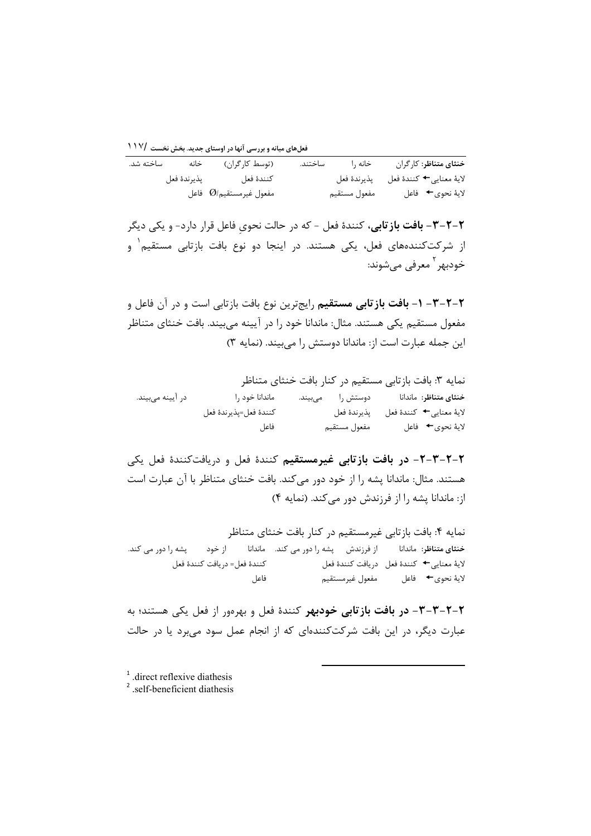فعلهای میانه و بررسی آنها در اوستای جدید. بخش نخست ۱۱۷/

| ساخته شد. | خانه | (توسط كارگران)                     | ساختند. | خانه ,ا      | خنثاي متناظر: كارگران                |
|-----------|------|------------------------------------|---------|--------------|--------------------------------------|
|           |      | كنندة فعل مستسمى يذيرندة فعل       |         |              | لايۀ معنايي← كنندۀ فعل للهذيرندۀ فعل |
|           |      | مفعول غيرمستقيم $\mathit{O}/$ فاعل |         | مفعول مستقيم | لايهٔ نحوي← فاعل                     |

۲-۲-۳- **بافت باز تابی**، کنندهٔ فعل - که در حالت نحویِ فاعل قرار دارد- و یکی دیگر از شرکتکنندههای فعل، یکی هستند. در اینجا دو نوع بافت بازتابی مستقیم<sup>۱</sup> و خودبھر <sup>1</sup> معرفی مےشووند:

۲–۲–۳ – ۱- **بافت بازتابی مستقیم** رایجترین نوع بافت بازتابی است و در آن فاعل و مفعول مستقیم یکی هستند. مثال: ماندانا خود را در آیینه می بیند. بافت خنثای متناظر این جمله عبارت است از: ماندانا دوستش را می بیند. (نمایه ۳)

|                  | نمايه ٣: بافت بازتابي مستقيم در كنار بافت خنثاي متناظر |                  |                        |
|------------------|--------------------------------------------------------|------------------|------------------------|
| در آیینه میبیند. | ماندانا خود را                                         | دوستش را میبیند. | خنثاي متناظر: ماندانا  |
|                  | كنندة فعل=پذيرندة فعل                                  | يذيرندة فعل      | لاية معنايي← كنندة فعل |
|                  | فاعل                                                   | مفعول مستقيم     | لايهٔ نحوي← فاعل       |

۲-۲-۳-۲- در بافت بازتابی غیرمستقیم کنندهٔ فعل و دریافتکنندهٔ فعل یکی هستند. مثال: ماندانا پشه را از خود دور می کند. بافت خنثای متناظر با آن عبارت است از: ماندانا یشه را از فرزندش دور می کند. (نمایه ۴)

نمایه ۴: بافت بازتابی غیرمستقیم در کنار بافت خنثای متناظر خنثای متناظر: ماندانا از فرزندش پشه را دور می کند. ماندانا از خود یشه ,ا دو, مے کند. لاية معنايي← كنندة فعل دريافت كنندة فعل كنندة فعل= دريافت كنندة فعل مفعول غيرمستقيم لايهٔ نحوي← فاعل فاعل

٢-٢-٣-٣- در بافت بازتابي خودبهر كنندة فعل و بهرهور از فعل يكي هستند؛ به عبارت دیگر، در این بافت شرکتکنندهای که از انجام عمل سود میبرد یا در حالت

 $<sup>1</sup>$  direct reflexive diathesis</sup>

<sup>&</sup>lt;sup>2</sup> self-beneficient diathesis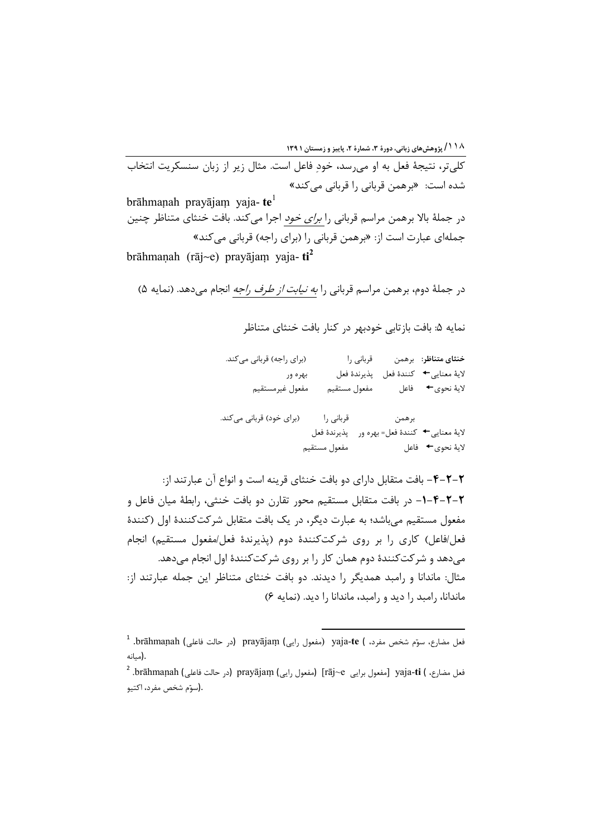۱۱۸/پژوهشهای زبانی، دورهٔ ۳، شمارهٔ ۲، پاییز و زمستان ۱۳۹۱<br>کلی تر، نتیجهٔ فعل به او می رسد، خودِ فاعل است. مثال زیر از زبان سنسکریت انتخاب شدہ است: «برهمن قربانی را قربانی می کند» brāhmanah pravājam vaja- $te^1$ در جملهٔ بالا برهمن مراسم قربانی را *برای خود* اجرا میکند. بافت خنثای متناظر چنین جملهای عبارت است از: «برهمن قربانی را (برای راجه) قربانی می کند» brāhmanah (rāj~e) pravājam vaja- $\text{ti}^2$ 

در جملهٔ دوم، برهمن مراسم قربانی را *به نیابت از طرف راجه* انجام میدهد. (نمایه ۵)

نمايه ۵: بافت بازتابي خودبهر در كنار بافت خنثاي متناظر

| (برای راجه) قربانی میکند. |              | قربانی را   |       | خنثاى متناظر: برهمن             |
|---------------------------|--------------|-------------|-------|---------------------------------|
| بهره ور                   |              | پذيرندۀ فعل |       | لاية معنايي← كنندة فعل          |
| مفعول غيرمستقيم           | مفعول مستقيم |             |       | لايهٔ نحوي→ فاعل                |
|                           |              |             |       |                                 |
| (برای خود) قربانی میکند.  | قربانی را    |             | برهمن |                                 |
|                           | پذيرندۀ فعل  |             |       | لايۀ معنايي← كنندۀ فعل= بهره ور |
|                           | مفعول مستقيم |             |       | لاية نحوى→ فاعل                 |

**٢-٢-۴-** بافت متقابل دارای دو بافت خنثای قرینه است و انواع آن عبارتند از: ۲–۲–۴–۱– در بافت متقابل مستقیم محور تقارن دو بافت خنثی، رابطهٔ میان فاعل و مفعول مستقیم می باشد؛ به عبارت دیگر، در یک بافت متقابل شرکتکنندهٔ اول (کنندهٔ فعل/فاعل) كاري را بر روى شركتكنندهٔ دوم (يذيرندهٔ فعل/مفعول مستقيم) انجام میدهد و شرکتکنندهٔ دوم همان کار را بر روی شرکتکنندهٔ اول انجام میدهد. مثال: ماندانا و رامبد همدیگر را دیدند. دو بافت خنثای متناظر این جمله عبارتند از: ماندانا، راميد را ديد و راميد، ماندانا را ديد. (نمايه ۶)

فعل مضارع، سوّم شخص مفرد، ) yaja-te (مفعول رايي) prayājaṃ (در حالت فاعلي) brāhmaṇah. <sup>1</sup> .(مىانە

فعل مضارع، ) yaja-ti [مفعول برايي rāj~e] (مفعول رايي) prayājaṃ (در حالت فاعلي) brāhmaṇah. <sup>2</sup> .(سوّم شخص مفرد، اكتيو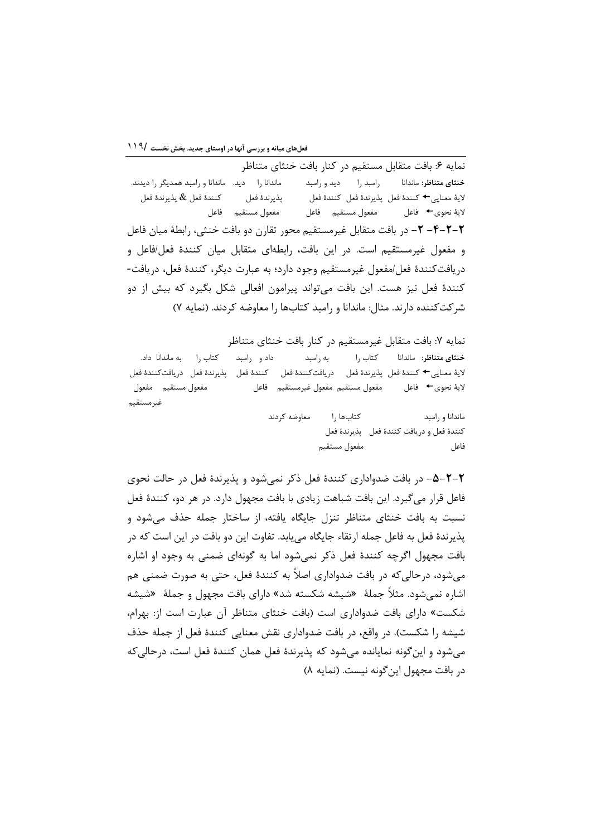نمايه ۶: بافت متقابل مستقيم در كنار بافت خنثاي متناظر ماندانا ,ا دید. ماندانا و ,امید همدیگر ,ا دیدند. رامبد را دید و رامبد **خنثای متناظر**: ماندانا لاية معنايي ← كنندة فعل يذيرندة فعل كنندة فعل كنندة فعل & پذيرندة فعل يذيرندة فعل مفعول مستقيم فاعل لايهٔ نحوي← فاعل مفعول مستقيم فاعل ٢-٢-٣- ٢- در بافت متقابل غيرمستقيم محور تقارن دو بافت خنثي، رابطهٔ ميان فاعل و مفعول غیرمستقیم است. در این بافت، رابطهای متقابل میان کنندهٔ فعل/فاعل و دريافت كنندة فعل/مفعول غيرمستقيم وجود دارد؛ به عبارت ديگر، كنندة فعل، دريافت-کنندۂ فعل نیز هست. این بافت می تواند پیرامون افعالی شکل بگیرد که بیش از دو شر كت كننده دارند. مثال: ماندانا و رامبد كتابها را معاوضه كردند. (نمايه ٧)

نمایه ۷: بافت متقابل غیرمستقیم در کنار بافت خنثای متناظر داد و رامبد کتاب را به ماندانا داد. به رامبد کتاب ,ا خنثاي متناظر: ماندانا لاية معنايي← كنندة فعل پذيرندة فعل دريافتكنندة فعل كنندة فعل پذيرندة فعل دريافتكنندة فعل مفعول مستقيم مفعول لاية نحوى→ فاعل مفعول مستقيم مفعول غيرمستقيم فاعل غيرمستقيم

> كتابها را معاوضه كردند ماندانا و رامید كنندة فعل و دريافت كنندة فعل پذيرندة فعل مفعول مستقيم فاعل

٢-٢-٥- در بافت ضدواداري كنندة فعل ذكر نمي شود و پذيرندة فعل در حالت نحوي فاعل قرار می گیرد. این بافت شباهت زیادی با بافت مجهول دارد. در هر دو، کنندهٔ فعل نسبت به بافت خنثای متناظر تنزل جایگاه یافته، از ساختار جمله حذف می شود و پذيرندهٔ فعل به فاعل جمله ارتقاء جايگاه مي،ابد. تفاوت اين دو بافت در اين است كه در بافت مجهول اگرچه کنندهٔ فعل ذکر نمی شود اما به گونهای ضمنی به وجود او اشاره مي شود، در حالي كه در بافت ضدواداري اصلاً به كنندهٔ فعل، حتى به صورت ضمني هم اشاره نمی شود. مثلاً جملهٔ «شیشه شکسته شد» دارای بافت مجهول و جملهٔ «شیشه شكست» داراي بافت ضدواداري است (بافت خنثاي متناظر آن عبارت است از: بهرام، شیشه را شکست). در واقع، در بافت ضدواداری نقش معنایی کنندهٔ فعل از جمله حذف مي شود و اين گونه نمايانده مي شود كه پذيرندهٔ فعل همان كنندهٔ فعل است، در حالي كه در بافت مجهول این گونه نیست. (نمایه ۸)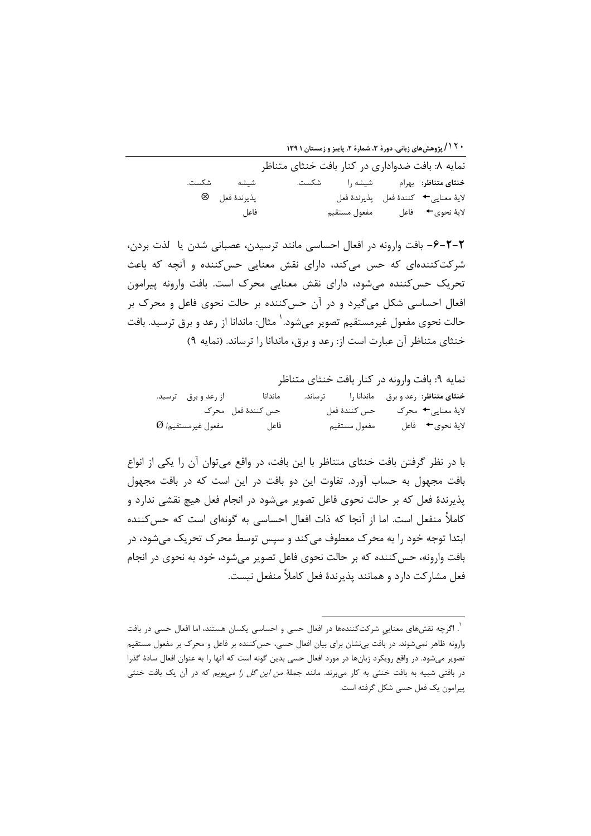**۱۲۰/ پژوهشهای زبانی، دورهٔ ۳، شمارهٔ ۲، پاییز و زمستان ۱۳۹۱** 

|                   | نمایه ۸: بافت ضدواداری در کنار بافت خنثای متناظر                    |                                         |
|-------------------|---------------------------------------------------------------------|-----------------------------------------|
|                   | <b>خنثای متناظر</b> : بهرام             شیشه را               شکست. |                                         |
| پذيرندۂ فعل     ⊗ |                                                                     | لاية معنايى←   كنندة فعل    پذيرندة فعل |
| فاعل              |                                                                     | لايهٔ نحوي→ فاعل مفعول مستقيم           |

٢-٢-۶- بافت وارونه در افعال احساسی مانند ترسیدن، عصبانی شدن یا لذت بردن، شرکتکنندهای که حس میکند، دارای نقش معنایی حسکننده و آنچه که باعث تحریک حس کننده می شود، دارای نقش معنایی محرک است. بافت وارونه پیرامون افعال احساسی شکل می گیرد و در آن حس کننده بر حالت نحوی فاعل و محرک بر حالت نحوی مفعول غیرمستقیم تصویر میشود.<sup>\</sup> مثال: ماندانا از رعد و برق ترسید. بافت خنثای متناظر آن عبارت است از: رعد و برق، ماندانا را ترساند. (نمایه ۹)

نمايه ٩: بافت وارونه در كنار بافت خنثاي متناظر خنثای متناظر: رعد و برق ماندانا را مساند. ماندانا از رعد و برق ترسید. حس كنندة فعل محرك حس كنندة فعل لايۂ معنايے <del>←</del> محرک لايهٔ نحوي← فاعل  $\varnothing$  مفعول غيرمستقيم/ مفعول مستقيم فاعل

با در نظر گرفتن بافت خنثای متناظر با این بافت، در واقع می توان آن را یکی از انواع بافت مجهول به حساب آورد. تفاوت این دو بافت در این است که در بافت مجهول پذیرندهٔ فعل که بر حالت نحوی فاعل تصویر می شود در انجام فعل هیچ نقشی ندارد و کاملاً منفعل است. اما از آنجا که ذات افعال احساسی به گونهای است که حسکننده ابتدا توجه خود را به محرک معطوف می کند و سیس توسط محرک تحریک می شود، در بافت وارونه، حس كننده كه بر حالت نحوى فاعل تصوير مى شود، خود به نحوى در انجام فعل مشاركت دارد و همانند يذيرندهٔ فعل كاملاً منفعل نيست.

<sup>&</sup>lt;sup>'</sup>. اگرچه نقشهای معنایی شرکتکنندهها در افعال حسی و احساسی یکسان هستند، اما افعال حسی در بافت وارونه ظاهر نمیشوند. در بافت بی نشان برای بیان افعال حسی، حس کننده بر فاعل و محرک بر مفعول مستقیم تصویر میشود. در واقع رویکرد زبانها در مورد افعال حسی بدین گونه است که آنها را به عنوان افعال سادهٔ گذرا در بافتی شبیه به بافت خنثی به کار میبرند. مانند جملهٔ *من این گل را میبویم* که در آن یک بافت خنثی پیرامون یک فعل حسی شکل گرفته است.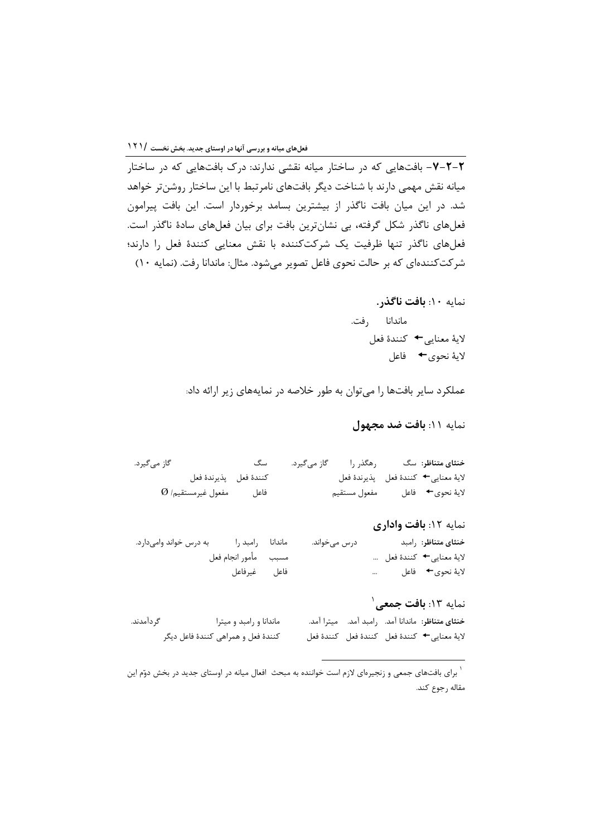میانه نقش مهمی دارند با شناخت دیگر بافتهای نامرتبط با این ساختار روشنتر خواهد شد. در این میان بافت ناگذر از بیشترین بسامد برخوردار است. این بافت پیرامون فعلهای ناگذر شکل گرفته، بی نشانترین بافت برای بیان فعلهای سادهٔ ناگذر است. فعلهای ناگذر تنها ظرفیت یک شرکتکننده با نقش معنایی کنندهٔ فعل را دارند؛ شر کتکنندهای که بر حالت نحوی فاعل تصویر میشود. مثال: ماندانا رفت. (نمایه ۱۰)

> نمايه ١٠: بافت ناگذر. ماندانا ,فت. لايۀ معنايي← كنندۀ فعل لايهٔ نحوي← فاعل

عملکرد سایر بافتها را می توان به طور خلاصه در نمایههای زیر ارائه داد:

نمايه ١١: بافت ضد مجهول

گاز می گیرد. خنثای متناظر: سگ كنندة فعل يذيرندة فعل لايۀ معنايى→ كنندۀ فعل پذيرندۀ فعل  $\varnothing$  مفعول غيرمستقيم/ فاعل مفعول مستقيم لايهٔ نحوي→ فاعل

نمایه ۱۲: بافت واداری خنثاي متناظر: رامبد ماندانا رامبد را به درس خواند وامی دارد. درس مے خواند. لايۀ معنايي← كنندۀ فعل … مسبب مأمور انجام فعل لايهٔ نحوي← فاعل فاعل غيرفاعل  $\mathbf{r}$ 

نمايه ١٣: **بافت جمع**ى ْ گ داَمدند. ماندانا و رامبد و میترا خنثاي متناظر: ماندانا آمد. ,امبد آمد. ميترا آمد. كنندهٔ فعل و همراهی كنندهٔ فاعل دیگر لاية معنايي <del>←</del> كنندة فعل كنندة فعل كنندة فعل

<sup>&</sup>lt;sup>۱</sup> برای بافتهای جمعی و زنجیرهای لازم است خواننده به مبحث افعال میانه در اوستای جدید در بخش دوّم این مقاله رجوع كند.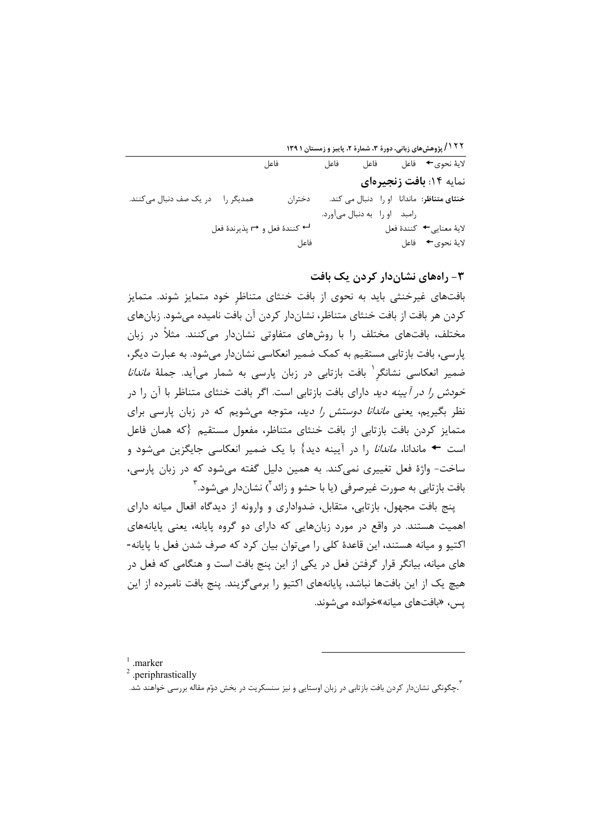۱۲۲ / پژوهشهای زبانی، دورهٔ ۳، شمارهٔ ۲، پاییز و زمستان ۱۳۹۱

فاعل فاعل لايهٔ نحوي← فاعل فاعل نمایه ۱۴: بافت زنجیرهای خنثای متناظر: ماندانا او را دنبال می کند. همدیگر را در یک صف دنبال میکنند. دختران رامبد او را به دنبال می آورد. <sup>لـــ</sup> كنندة فعل و → پذيرندة فعل لايۀ معنايي← كنندۀ فعل فاعل لاية نحوى← فاعل

## ۳- راههای نشاندار کردن یک بافت

بافتهای غیرخنثی باید به نحوی از بافت خنثای متناظر خود متمایز شوند. متمایز کردن هر بافت از بافت خنثای متناظر، نشاندار کردن آن بافت نامیده می شود. زبانهای مختلف، بافتهای مختلف را با روشهای متفاوتی نشاندار می کنند. مثلاً در زبان یارسی، بافت بازتابی مستقیم به کمک ضمیر انعکاسی نشاندار می شود. به عبارت دیگر، ضمیر انعکاسی نشانگر <sup>۱</sup> بافت بازتابی در زبان پارسی به شمار میآید. جملهٔ *ماندانا خودش را در آیینه دید* دارای بافت بازتابی است. اگر بافت خنثای متناظر با آن را در نظر بگیریم، یعنی *ماندانا دوستش را دید،* متوجه می شویم که در زبان پارسی برای متمايز كردن بافت بازتابي از بافت خنثاي متناظر، مفعول مستقيم {كه همان فاعل است ← ماندانا، *ماندانا* را در آیینه دید} با یک ضمیر انعکاسی جایگزین میشود و ساخت- واژهٔ فعل تغییری نمی کند. به همین دلیل گفته می شود که در زبان پارسی، بافت بازتابی به صورت غیرصرفی (یا با حشو و زائد<sup>۲</sup>) نشاندار مے شود.<sup>۳</sup>

پنج بافت مجهول، بازتابی، متقابل، ضدواداری و وارونه از دیدگاه افعال میانه دارای اهمیت هستند. در واقع در مورد زبانهایی که دارای دو گروه پایانه، یعنی پایانههای اکتیو و میانه هستند، این قاعدهٔ کلی را می توان بیان کرد که صرف شدن فعل با پایانه-های میانه، بیانگر قرار گرفتن فعل در یکی از این پنج بافت است و هنگامی که فعل در هیچ یک از این بافتها نباشد، پایانههای اکتیو را برمیگزیند. پنج بافت نامبرده از این یس، «بافتهای میانه»خوانده مے شوند.

 $1$  .marker

<sup>&</sup>lt;sup>2</sup> .periphrastically

<sup>ّ.</sup>چگونگی نشاندار کردن بافت بازتابی در زبان اوستایی و نیز سنسکریت در بخش دوّم مقاله بررسی خواهند شد.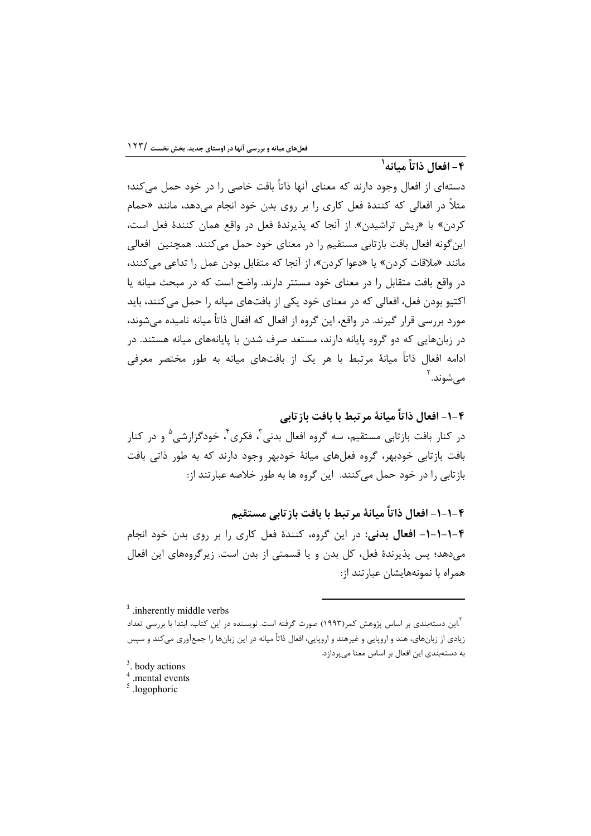# ۴ – افعال ذاتاً مىانە<sup>'</sup>

دستهای از افعال وجود دارند که معنای آنها ذاتاً بافت خاصی را در خود حمل میکند؛ مثلاً در افعالی که کنندهٔ فعل کاری را بر روی بدن خود انجام میدهد، مانند «حمام کردن» یا «ریش تراشیدن». از آنجا که پذیرندهٔ فعل در واقع همان کنندهٔ فعل است، این گونه افعال بافت بازتابی مستقیم را در معنای خود حمل می کنند. همچنین افعالی مانند «ملاقات كردن» يا «دعوا كردن»، از آنجا كه متقابل بودن عمل را تداعى مى كنند، در واقع بافت متقابل را در معنای خود مستتر دارند. واضح است که در مبحث میانه یا اکتیو بودن فعل، افعالی که در معنای خود یکی از بافتهای میانه را حمل می کنند، باید مورد بررسی قرار گیرند. در واقع، این گروه از افعال که افعال ذاتاً میانه نامیده می شوند، در زبانهایی که دو گروه پایانه دارند، مستعد صرف شدن با پایانههای میانه هستند. در ادامه افعال ذاتاً میانهٔ مرتبط با هر یک از بافتهای میانه به طور مختصر معرفی مے شوند. <sup>۲</sup>

۴–۱– افعال ذاتاً میانهٔ مر تبط با بافت باز تابی

در کنار بافت بازتابی مستقیم، سه گروه افعال بدنی<sup>۳</sup>، فکری<sup>۴</sup>، خودگزارشی<sup>۵</sup> و در کنار بافت بازتابی خودبهر، گروه فعلهای میانهٔ خودبهر وجود دارند که به طور ذاتی بافت بازتابی را در خود حمل می کنند. این گروه ها به طور خلاصه عبارتند از:

۴–۱–۱– افعال ذاتاً میانهٔ مر تبط با بافت باز تابی مستقیم

۴-١-١-١- افعال بدني: در اين گروه، كنندة فعل كارى را بر روى بدن خود انجام می دهد؛ پس پذیرندهٔ فعل، کل بدن و یا قسمتی از بدن است. زیرگروههای این افعال همراه با نمونههایشان عبارتند از:

 $<sup>1</sup>$  inherently middle verbs</sup>

ین دستهبندی بر اساس پژوهش کمر(۱۹۹۳) صورت گرفته است. نویسنده در این کتاب، ابتدا با بررسی تعداد $\lceil \frac{Y}{Y} \rceil$ زیادی از زبانهای، هند و اروپایی و غیرهند و اروپایی، افعال ذاتاً میانه در این زبانها را جمعآوری می کند و سپس به دستهبندی این افعال بر اساس معنا میپردازد.

 $3.$  body actions

 $4$  .mental events

 $\frac{5}{ }$ .logophoric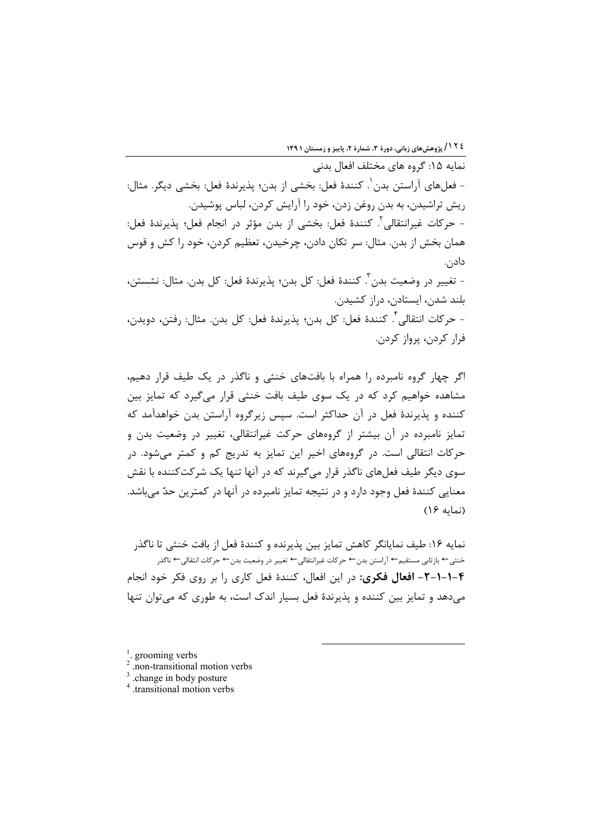نمايه ۱۵: گروه هاي مختلف افعال بدني – فعلهاي آراستن بدن'. كنندهٔ فعل: بخشي از بدن؛ يذيرندهٔ فعل: بخشي ديگر. مثال: ریش تراشیدن، به بدن روغن زدن، خود را آرایش کردن، لباس پوشیدن. - حركات غيرانتقالي<sup>؟</sup>. كنندهٔ فعل: بخشى از بدن مؤثر در انجام فعل؛ پذيرندهٔ فعل: همان بخش از بدن. مثال: سر تكان دادن، چرخيدن، تعظيم كردن، خود را كش و قوس دادن. – تغيير در وضعيت بدن ّ. كنندهٔ فعل: كل بدن؛ پذيرندهٔ فعل: كل بدن. مثال: نشستن، بلند شدن، ایستادن، دراز کشیدن.

– حركات انتقالي أ. كنندهٔ فعل: كل بدن؛ يذيرندهٔ فعل: كل بدن. مثال: رفتن، دويدن، فرار كردن، پرواز كردن.

اگر چهار گروه نامبرده را همراه با بافتهای خنثی و ناگذر در یک طیف قرار دهیم، مشاهده خواهیم کرد که در یک سوی طیف بافت خنثی قرار می گیرد که تمایز بین کننده و پذیرندهٔ فعل در آن حداکثر است. سیس زیرگروه آراستن بدن خواهدآمد که تمایز نامبرده در آن بیشتر از گروههای حرکت غیرانتقالی، تغییر در وضعیت بدن و حرکات انتقالی است. در گروههای اخیر این تمایز به تدریج کم و کمتر می شود. در سوی دیگر طیف فعلهای ناگذر قرار میگیرند که در آنها تنها یک شرکتکننده با نقش معنایی کنندهٔ فعل وجود دارد و در نتیجه تمایز نامبرده در آنها در کمترین حدّ می باشد. (نمایه ۱۶)

نمايه ۱۶: طيف نمايانگر كاهش تمايز بين پذيرنده و كنندهٔ فعل از بافت خنثي تا ناگذر خنثي ← بازتابي مستقيم← آراستن بدن← حركات غيرانتقالي← تغيير در وضعيت بدن← حركات انتقالي← ناگذر ۴-۱-۱-۲- افعال فکری: در این افعال، کنندهٔ فعل کاری را بر روی فکر خود انجام می دهد و تمایز بین کننده و پذیرندهٔ فعل بسیار اندک است، به طوری که می توان تنها

 $\frac{1}{2}$  grooming verbs

<sup>.</sup>non-transitional motion verbs

 $3$ .change in body posture

<sup>&</sup>lt;sup>4</sup> transitional motion verbs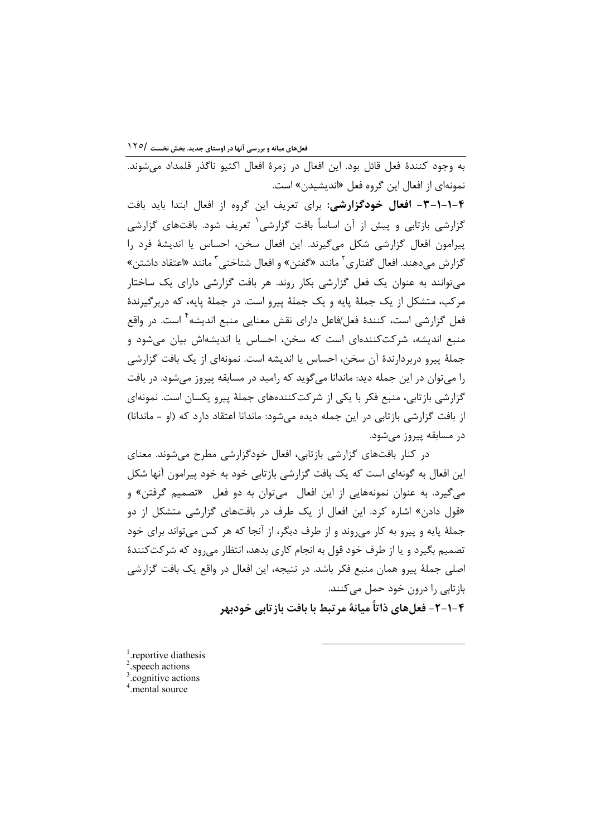نمونهای از افعال این گروه فعل «اندیشیدن» است. ۴-۱-۱-۳- افعال خودگزارشی: برای تعریف این گروه از افعال ابتدا باید بافت گزارشی بازتابی و پیش از آن اساساً بافت گزارشی ب تعریف شود. بافتهای گزارشی ييرامون افعال گزارشي شكل مي گيرند. اين افعال سخن، احساس يا انديشهٔ فرد را گزارش میدهند. افعال گفتاری<sup>۲</sup> مانند «گفتن» و افعال شناختی<sup>۳</sup> مانند «اعتقاد داشتن» می توانند به عنوان یک فعل گزارشی بکار روند. هر بافت گزارشی دارای یک ساختار مرکب، متشکل از یک جملهٔ پایه و یک جملهٔ پیرو است. در جملهٔ پایه، که دربرگیرندهٔ فعل گزارشی است، کنندهٔ فعل/فاعل دارای نقش معنایی منبع اندیشه<sup>۴</sup> است. در واقع منبع اندیشه، شرکتکنندهای است که سخن، احساس یا اندیشهاش بیان می شود و جملهٔ پیرو دربردارندهٔ آن سخن، احساس یا اندیشه است. نمونهای از یک بافت گزارشی را می توان در این جمله دید: ماندانا می گوید که رامبد در مسابقه پیروز می شود. در بافت گزارشی بازتابی، منبع فکر با یکی از شرکتکنندههای جملهٔ پیرو یکسان است. نمونهای از بافت گزارشی بازتابی در این جمله دیده میشود: ماندانا اعتقاد دارد که (او = ماندانا) در مسابقه پیروز میشود.

به وجود كنندهٔ فعل قائل بود. این افعال در زمرهٔ افعال اكتیو ناگذر قلمداد می شوند.

در کنار بافتهای گزارشی بازتابی، افعال خودگزارشی مطرح میشوند. معنای این افعال به گونهای است که یک بافت گزارشی بازتابی خود به خود پیرامون آنها شکل میگیرد. به عنوان نمونههایی از این افعال ً میتوان به دو فعل «تصمیم گرفتن» و «قول دادن» اشاره کرد. این افعال از یک طرف در بافتهای گزارشی متشکل از دو جملهٔ پایه و پیرو به کار می وند و از طرف دیگر، از آنجا که هر کس می تواند برای خود تصمیم بگیرد و یا از طرف خود قول به انجام کاری بدهد، انتظار می رود که شرکتکنندهٔ اصلی جملهٔ پیرو همان منبع فکر باشد. در نتیجه، این افعال در واقع یک بافت گزارشی بازتابی را درون خود حمل می کنند.

۴–۱–۲– فعل های ذاتاً میانهٔ مرتبط با بافت بازتابی خودیهر

 $<sup>1</sup>$  reportive diathesis</sup>

 $2$  speech actions

 $3$ .cognitive actions

 $4$  mental source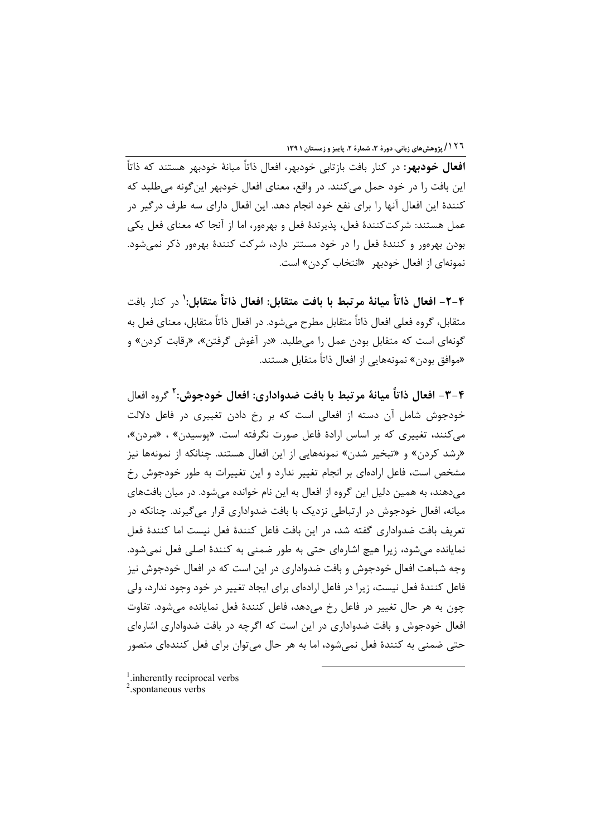۱۲٦ / پژوهش های زبانی، دورهٔ ۳، شمارهٔ ۲، پاییز و زمستان ۱۳۹۱

**افعال خودبهر**: در کنار بافت بازتابی خودبهر، افعال ذاتاً میانهٔ خودبهر هستند که ذاتاً این بافت را در خود حمل میکنند. در واقع، معنای افعال خودبهر این گونه میطلبد که كنندهٔ اين افعال آنها را براي نفع خود انجام دهد. اين افعال داراي سه طرف درگير در عمل هستند: شركتكنندهٔ فعل، پذيرندهٔ فعل و بهرهور، اما از آنجا كه معناي فعل يكي بودن بهرهور و کنندهٔ فعل را در خود مستتر دارد، شرکت کنندهٔ بهرهور ذکر نمیشود. نمونهای از افعال خودبهر «انتخاب کردن» است.

۴–۲– افعال ذاتاً مبانهٔ مرتبط با بافت متقابل: افعال ذاتاً متقابل: ٰ در کنار بافت متقابل، گروه فعلی افعال ذاتاً متقابل مطرح می،شود. در افعال ذاتاً متقابل، معنای فعل به گونهای است که متقابل بودن عمل را میطلبد. «در آغوش گرفتن»، «رقابت کردن» و «موافق بودن» نمونههایی از افعال ذاتاً متقابل هستند.

۴-۳- افعال ذاتاً ميانهٔ مرتبط با بافت ضدواداري: افعال خودجوش: ' گروه افعال خودجوش شامل آن دسته از افعالی است که بر رخ دادن تغییری در فاعل دلالت می کنند، تغییری که بر اساس ارادهٔ فاعل صورت نگرفته است. «پوسیدن» ، «مردن»، «رشد کردن» و «تبخیر شدن» نمونههایی از این افعال هستند. چنانکه از نمونهها نیز مشخص است، فاعل ارادهای بر انجام تغییر ندارد و این تغییرات به طور خودجوش رخ می دهند، به همین دلیل این گروه از افعال به این نام خوانده می شود. در میان بافتهای میانه، افعال خودجوش در ارتباطی نزدیک با بافت ضدواداری قرار می گیرند. چنانکه در تعريف بافت ضدواداري گفته شد، در اين بافت فاعل كنندهٔ فعل نيست اما كنندهٔ فعل نمایانده می شود، زیرا هیچ اشارهای حتی به طور ضمنی به کنندهٔ اصلی فعل نمی شود. وجه شباهت افعال خودجوش و بافت ضدواداري در اين است كه در افعال خودجوش نيز فاعل کنندهٔ فعل نیست، زیرا در فاعل ارادهای برای ایجاد تغییر در خود وجود ندارد، ولی چون به هر حال تغییر در فاعل رخ میدهد، فاعل کنندهٔ فعل نمایانده می شود. تفاوت افعال خودجوش و بافت ضدواداری در این است که اگرچه در بافت ضدواداری اشارهای حتی ضمنی به کنندهٔ فعل نمیشود، اما به هر حال میتوان برای فعل کنندهای متصور

<sup>&</sup>lt;sup>1</sup>. inherently reciprocal verbs

 $2$ , spontaneous verbs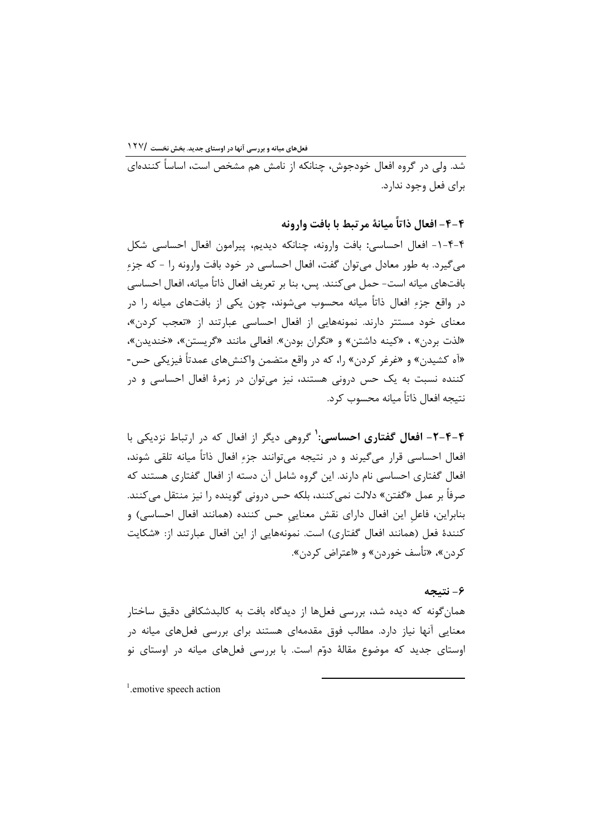شد. ولي در گروه افعال خودجوش، چنانکه از نامش هم مشخص است، اساساً کنندهای برای فعل وجود ندارد.

۴–۴– افعال ذاتاً ميانهٔ مرتبط با بافت وارونه

۴-۴-۱- افعال احساسی: بافت وارونه، چنانکه دیدیم، پیرامون افعال احساسی شکل مي گيرد. به طور معادل مي توان گفت، افعال احساسي در خود بافت وارونه را – كه جزء بافتهاي ميانه است- حمل مي كنند. پس، بنا بر تعريف افعال ذاتاً ميانه، افعال احساسي در واقع جزء افعال ذاتاً میانه محسوب می،شوند، چون یکی از بافتهای میانه را در معنای خود مستتر دارند. نمونههایی از افعال احساسی عبارتند از «تعجب کردن»، «لذت بردن» ، «کینه داشتن» و «نگران بودن». افعالی مانند «گریستن»، «خندیدن»، «آه کشیدن» و «غرغر کردن» را، که در واقع متضمن واکنشهای عمدتاً فیزیکی حس-کننده نسبت به یک حس درونی هستند، نیز میتوان در زمرهٔ افعال احساسی و در نتبجه افعال ذاتاً مبانه محسوب کرد.

۴-۴-۲- افعال گفتاری احساسی:<sup>۱</sup> گروهی دیگر از افعال که در ارتباط نزدیکی با افعال احساسی قرار میگیرند و در نتیجه میتوانند جزءِ افعال ذاتاً میانه تلقی شوند، افعال گفتاری احساسی نام دارند. این گروه شامل آن دسته از افعال گفتاری هستند که صرفاً بر عمل «گفتن» دلالت نميكنند، بلكه حس دروني گوينده را نيز منتقل ميكنند. بنابراین، فاعل این افعال دارای نقش معنایی حس کننده (همانند افعال احساسی) و کنندهٔ فعل (همانند افعال گفتاری) است. نمونههایی از این افعال عبارتند از: «شکایت کردن»، «تأسف خوردن» و «اعتراض کردن».

### ۶– نتيجه

همان گونه که دیده شد، بررسی فعلها از دیدگاه بافت به کالبدشکافی دقیق ساختار معنایی آنها نیاز دارد. مطالب فوق مقدمهای هستند برای بررسی فعلهای میانه در اوستای جدید که موضوع مقالهٔ دوّم است. با بررسی فعلهای میانه در اوستای نو

 $<sup>1</sup>$  emotive speech action</sup>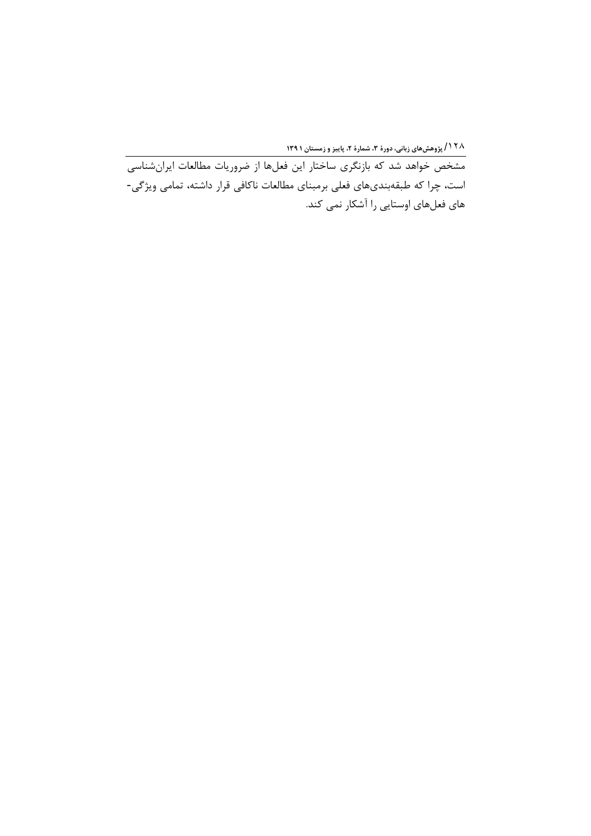۱۲۸/ پژوهشهای زبانی، دورهٔ ۳، شمارهٔ ۲، پاییز و زمستان ۱۳۹۱<br>مشخص خواهد شد که بازنگری ساختار این فعلها از ضروریات مطالعات ایرانشناسی است، چرا که طبقهبندیهای فعلی برمبنای مطالعات ناکافی قرار داشته، تمامی ویژگی-های فعلهای اوستایی را آشکار نمی کند.